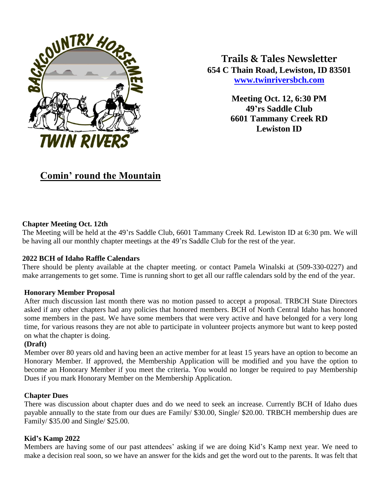

**Trails & Tales Newsletter 654 C Thain Road, Lewiston, ID 83501 [www.twinriversbch.com](http://www.twinriversbch.com/)**

> **Meeting Oct. 12, 6:30 PM 49'rs Saddle Club 6601 Tammany Creek RD Lewiston ID**

# **Comin' round the Mountain**

### **Chapter Meeting Oct. 12th**

The Meeting will be held at the 49'rs Saddle Club, 6601 Tammany Creek Rd. Lewiston ID at 6:30 pm. We will be having all our monthly chapter meetings at the 49'rs Saddle Club for the rest of the year.

#### **2022 BCH of Idaho Raffle Calendars**

There should be plenty available at the chapter meeting. or contact Pamela Winalski at (509-330-0227) and make arrangements to get some. Time is running short to get all our raffle calendars sold by the end of the year.

#### **Honorary Member Proposal**

After much discussion last month there was no motion passed to accept a proposal. TRBCH State Directors asked if any other chapters had any policies that honored members. BCH of North Central Idaho has honored some members in the past. We have some members that were very active and have belonged for a very long time, for various reasons they are not able to participate in volunteer projects anymore but want to keep posted on what the chapter is doing.

#### **(Draft)**

Member over 80 years old and having been an active member for at least 15 years have an option to become an Honorary Member. If approved, the Membership Application will be modified and you have the option to become an Honorary Member if you meet the criteria. You would no longer be required to pay Membership Dues if you mark Honorary Member on the Membership Application.

#### **Chapter Dues**

There was discussion about chapter dues and do we need to seek an increase. Currently BCH of Idaho dues payable annually to the state from our dues are Family/ \$30.00, Single/ \$20.00. TRBCH membership dues are Family/ \$35.00 and Single/ \$25.00.

#### **Kid's Kamp 2022**

Members are having some of our past attendees' asking if we are doing Kid's Kamp next year. We need to make a decision real soon, so we have an answer for the kids and get the word out to the parents. It was felt that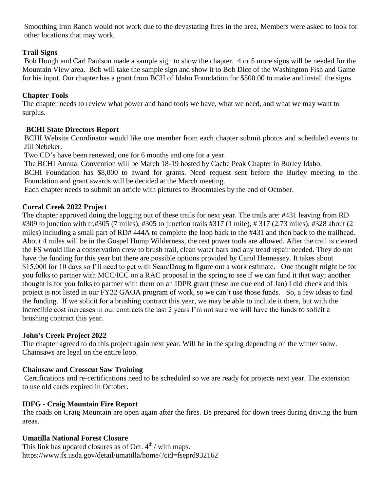Smoothing Iron Ranch would not work due to the devastating fires in the area. Members were asked to look for other locations that may work.

# **Trail Signs**

Bob Hough and Carl Paulson made a sample sign to show the chapter. 4 or 5 more signs will be needed for the Mountain View area. Bob will take the sample sign and show it to Bob Dice of the Washington Fish and Game for his input. Our chapter has a grant from BCH of Idaho Foundation for \$500.00 to make and install the signs.

# **Chapter Tools**

The chapter needs to review what power and hand tools we have, what we need, and what we may want to surplus.

# **BCHI State Directors Report**

BCHI Website Coordinator would like one member from each chapter submit photos and scheduled events to Jill Nebeker.

Two CD's have been renewed, one for 6 months and one for a year.

The BCHI Annual Convention will be March 18-19 hosted by Cache Peak Chapter in Burley Idaho.

BCHI Foundation has \$8,000 to award for grants. Need request sent before the Burley meeting to the Foundation and grant awards will be decided at the March meeting.

Each chapter needs to submit an article with pictures to Broomtales by the end of October.

## **Corral Creek 2022 Project**

The chapter approved doing the logging out of these trails for next year. The trails are: #431 leaving from RD #309 to junction with tr.#305 (7 miles), #305 to junction trails #317 (1 mile), # 317 (2.73 miles), #328 about (2 miles) including a small part of RD# 444A to complete the loop back to the #431 and then back to the trailhead. About 4 miles will be in the Gospel Hump Wilderness, the rest power tools are allowed. After the trail is cleared the FS would like a conservation crew to brush trail, clean water bars and any tread repair needed. They do not have the funding for this year but there are possible options provided by Carol Hennessey. It takes about \$15,000 for 10 days so I'll need to get with Sean/Doug to figure out a work estimate. One thought might be for you folks to partner with MCC/ICC on a RAC proposal in the spring to see if we can fund it that way; another thought is for you folks to partner with them on an IDPR grant (these are due end of Jan) I did check and this project is not listed in our FY22 GAOA program of work, so we can't use those funds. So, a few ideas to find the funding. If we solicit for a brushing contract this year, we may be able to include it there, but with the incredible cost increases in our contracts the last 2 years I'm not sure we will have the funds to solicit a brushing contract this year.

## **John's Creek Project 2022**

The chapter agreed to do this project again next year. Will be in the spring depending on the winter snow. Chainsaws are legal on the entire loop.

# **Chainsaw and Crosscut Saw Training**

Certifications and re-certifications need to be scheduled so we are ready for projects next year. The extension to use old cards expired in October.

## **IDFG - Craig Mountain Fire Report**

The roads on Craig Mountain are open again after the fires. Be prepared for down trees during driving the burn areas.

## **Umatilla National Forest Closure**

This link has updated closures as of Oct.  $4<sup>th</sup>$  / with maps. https://www.fs.usda.gov/detail/umatilla/home/?cid=fseprd932162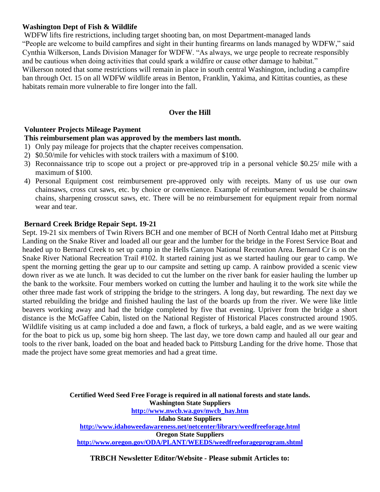## **Washington Dept of Fish & Wildlife**

WDFW lifts fire restrictions, including target shooting ban, on most Department-managed lands "People are welcome to build campfires and sight in their hunting firearms on lands managed by WDFW," said Cynthia Wilkerson, Lands Division Manager for WDFW. "As always, we urge people to recreate responsibly and be cautious when doing activities that could spark a wildfire or cause other damage to habitat." Wilkerson noted that some restrictions will remain in place in south central Washington, including a campfire ban through Oct. 15 on all WDFW wildlife areas in Benton, Franklin, Yakima, and Kittitas counties, as these habitats remain more vulnerable to fire longer into the fall.

## **Over the Hill**

#### **Volunteer Projects Mileage Payment**

#### **This reimbursement plan was approved by the members last month.**

- 1) Only pay mileage for projects that the chapter receives compensation.
- 2) \$0.50/mile for vehicles with stock trailers with a maximum of \$100.
- 3) Reconnaissance trip to scope out a project or pre-approved trip in a personal vehicle \$0.25/ mile with a maximum of \$100.
- 4) Personal Equipment cost reimbursement pre-approved only with receipts. Many of us use our own chainsaws, cross cut saws, etc. by choice or convenience. Example of reimbursement would be chainsaw chains, sharpening crosscut saws, etc. There will be no reimbursement for equipment repair from normal wear and tear.

#### **Bernard Creek Bridge Repair Sept. 19-21**

Sept. 19-21 six members of Twin Rivers BCH and one member of BCH of North Central Idaho met at Pittsburg Landing on the Snake River and loaded all our gear and the lumber for the bridge in the Forest Service Boat and headed up to Bernard Creek to set up camp in the Hells Canyon National Recreation Area. Bernard Cr is on the Snake River National Recreation Trail #102. It started raining just as we started hauling our gear to camp. We spent the morning getting the gear up to our campsite and setting up camp. A rainbow provided a scenic view down river as we ate lunch. It was decided to cut the lumber on the river bank for easier hauling the lumber up the bank to the worksite. Four members worked on cutting the lumber and hauling it to the work site while the other three made fast work of stripping the bridge to the stringers. A long day, but rewarding. The next day we started rebuilding the bridge and finished hauling the last of the boards up from the river. We were like little beavers working away and had the bridge completed by five that evening. Upriver from the bridge a short distance is the McGaffee Cabin, listed on the National Register of Historical Places constructed around 1905. Wildlife visiting us at camp included a doe and fawn, a flock of turkeys, a bald eagle, and as we were waiting for the boat to pick us up, some big horn sheep. The last day, we tore down camp and hauled all our gear and tools to the river bank, loaded on the boat and headed back to Pittsburg Landing for the drive home. Those that made the project have some great memories and had a great time.

> **Certified Weed Seed Free Forage is required in all national forests and state lands. Washington State Suppliers [http://www.nwcb.wa.gov/nwcb\\_hay.htm](http://www.nwcb.wa.gov/nwcb_hay.htm) Idaho State Suppliers <http://www.idahoweedawareness.net/netcenter/library/weedfreeforage.html> Oregon State Suppliers <http://www.oregon.gov/ODA/PLANT/WEEDS/weedfreeforageprogram.shtml>**

**TRBCH Newsletter Editor/Website - Please submit Articles to:**